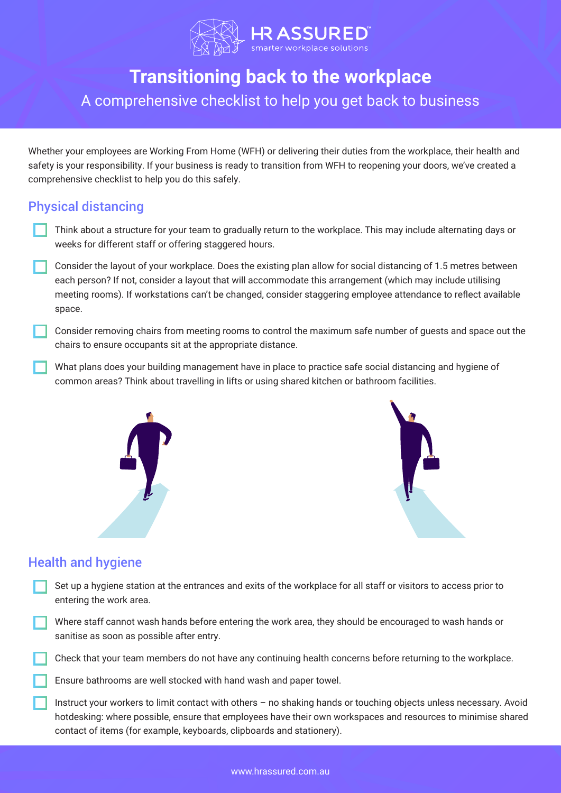

# **Transitioning back to the workplace**

## A comprehensive checklist to help you get back to business

Whether your employees are Working From Home (WFH) or delivering their duties from the workplace, their health and safety is your responsibility. If your business is ready to transition from WFH to reopening your doors, we've created a comprehensive checklist to help you do this safely.

### Physical distancing

- Think about a structure for your team to gradually return to the workplace. This may include alternating days or weeks for different staff or offering staggered hours.
- Consider the layout of your workplace. Does the existing plan allow for social distancing of 1.5 metres between each person? If not, consider a layout that will accommodate this arrangement (which may include utilising meeting rooms). If workstations can't be changed, consider staggering employee attendance to reflect available space.
- Consider removing chairs from meeting rooms to control the maximum safe number of guests and space out the chairs to ensure occupants sit at the appropriate distance.
- What plans does your building management have in place to practice safe social distancing and hygiene of common areas? Think about travelling in lifts or using shared kitchen or bathroom facilities.





#### Health and hygiene

- Set up a hygiene station at the entrances and exits of the workplace for all staff or visitors to access prior to entering the work area.
- Where staff cannot wash hands before entering the work area, they should be encouraged to wash hands or sanitise as soon as possible after entry.

Check that your team members do not have any continuing health concerns before returning to the workplace.

Ensure bathrooms are well stocked with hand wash and paper towel.

Instruct your workers to limit contact with others – no shaking hands or touching objects unless necessary. Avoid hotdesking: where possible, ensure that employees have their own workspaces and resources to minimise shared contact of items (for example, keyboards, clipboards and stationery).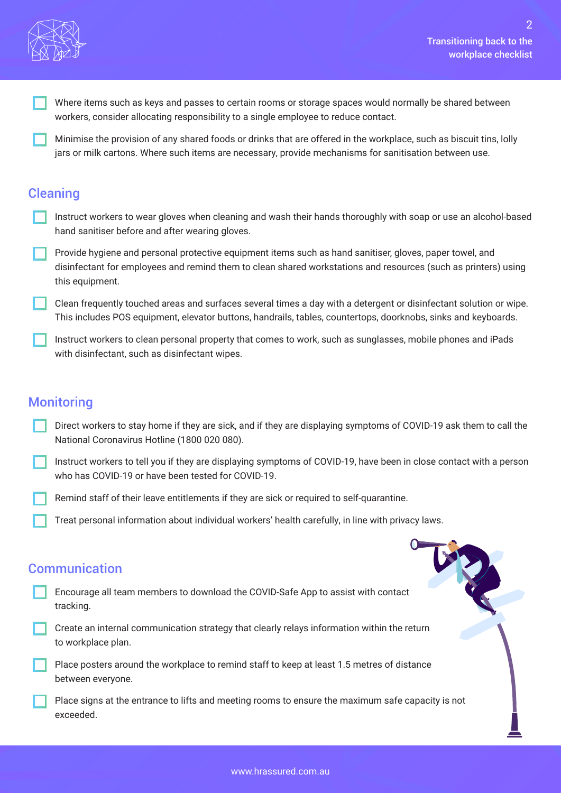

- Where items such as keys and passes to certain rooms or storage spaces would normally be shared between workers, consider allocating responsibility to a single employee to reduce contact.
- Minimise the provision of any shared foods or drinks that are offered in the workplace, such as biscuit tins, lolly jars or milk cartons. Where such items are necessary, provide mechanisms for sanitisation between use.

#### **Cleaning**

- Instruct workers to wear gloves when cleaning and wash their hands thoroughly with soap or use an alcohol‐based hand sanitiser before and after wearing gloves.
- Provide hygiene and personal protective equipment items such as hand sanitiser, gloves, paper towel, and disinfectant for employees and remind them to clean shared workstations and resources (such as printers) using this equipment.
- Clean frequently touched areas and surfaces several times a day with a detergent or disinfectant solution or wipe. This includes POS equipment, elevator buttons, handrails, tables, countertops, doorknobs, sinks and keyboards.
- Instruct workers to clean personal property that comes to work, such as sunglasses, mobile phones and iPads with disinfectant, such as disinfectant wipes.

#### **Monitoring**

- Direct workers to stay home if they are sick, and if they are displaying symptoms of COVID‐19 ask them to call the National Coronavirus Hotline (1800 020 080).
- Instruct workers to tell you if they are displaying symptoms of COVID‐19, have been in close contact with a person who has COVID‐19 or have been tested for COVID‐19.
- Remind staff of their leave entitlements if they are sick or required to self-quarantine.
- Treat personal information about individual workers' health carefully, in line with privacy laws.

#### **Communication**

- Encourage all team members to download the COVID-Safe App to assist with contact tracking.
- Create an internal communication strategy that clearly relays information within the return to workplace plan.
- Place posters around the workplace to remind staff to keep at least 1.5 metres of distance between everyone.
- Place signs at the entrance to lifts and meeting rooms to ensure the maximum safe capacity is not exceeded.